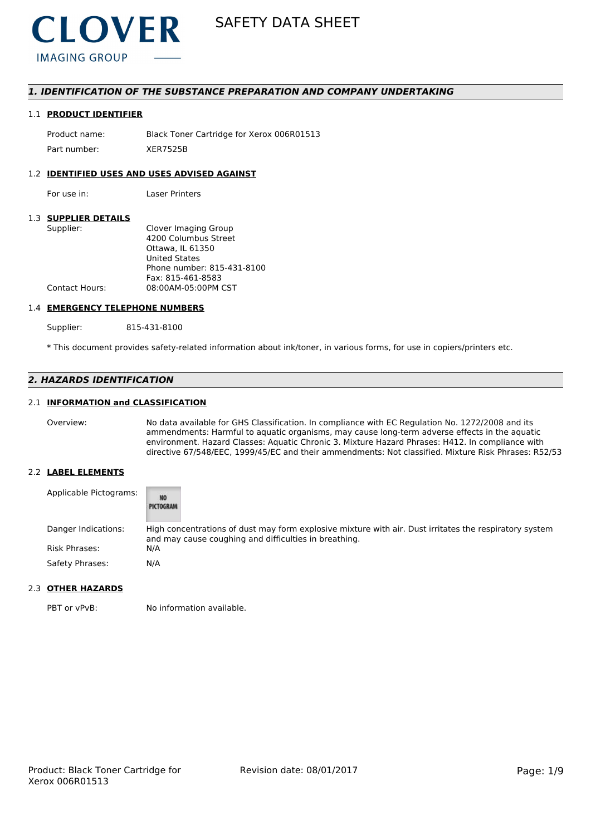

# *1. IDENTIFICATION OF THE SUBSTANCE PREPARATION AND COMPANY UNDERTAKING*

## 1.1 **PRODUCT IDENTIFIER**

Product name: Black Toner Cartridge for Xerox 006R01513 Part number: XER7525B

## 1.2 **IDENTIFIED USES AND USES ADVISED AGAINST**

For use in: Laser Printers

# 1.3 **SUPPLIER DETAILS**

| Supplier:             | Clover Imaging Group       |
|-----------------------|----------------------------|
|                       | 4200 Columbus Street       |
|                       | Ottawa. IL 61350           |
|                       | <b>United States</b>       |
|                       | Phone number: 815-431-8100 |
|                       | Fax: 815-461-8583          |
| <b>Contact Hours:</b> | 08:00AM-05:00PM CST        |
|                       |                            |

#### 1.4 **EMERGENCY TELEPHONE NUMBERS**

Supplier: 815-431-8100

\* This document provides safety-related information about ink/toner, in various forms, for use in copiers/printers etc.

# *2. HAZARDS IDENTIFICATION*

## 2.1 **INFORMATION and CLASSIFICATION**

Overview: No data available for GHS Classification. In compliance with EC Regulation No. 1272/2008 and its ammendments: Harmful to aquatic organisms, may cause long-term adverse effects in the aquatic environment. Hazard Classes: Aquatic Chronic 3. Mixture Hazard Phrases: H412. In compliance with directive 67/548/EEC, 1999/45/EC and their ammendments: Not classified. Mixture Risk Phrases: R52/53

## 2.2 **LABEL ELEMENTS**

| Applicable Pictograms: | <b>NO</b><br>PICTOGRAM                                                                                                                                          |
|------------------------|-----------------------------------------------------------------------------------------------------------------------------------------------------------------|
| Danger Indications:    | High concentrations of dust may form explosive mixture with air. Dust irritates the respiratory system<br>and may cause coughing and difficulties in breathing. |
| Risk Phrases:          | N/A                                                                                                                                                             |
| Safety Phrases:        | N/A                                                                                                                                                             |

# 2.3 **OTHER HAZARDS**

PBT or vPvB: No information available.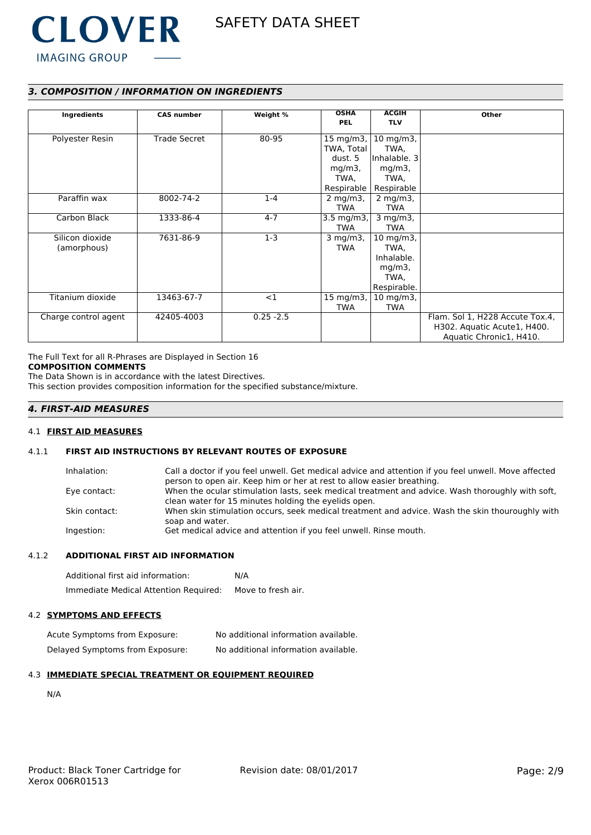

# *3. COMPOSITION / INFORMATION ON INGREDIENTS*

| Ingredients          | <b>CAS number</b>   | Weight %     | <b>OSHA</b>       | <b>ACGIH</b>         | Other                           |
|----------------------|---------------------|--------------|-------------------|----------------------|---------------------------------|
|                      |                     |              | PEL               | <b>TLV</b>           |                                 |
|                      |                     |              |                   |                      |                                 |
| Polyester Resin      | <b>Trade Secret</b> | 80-95        | 15 mg/m3, $\vert$ | $10 \text{ mg/m}$ 3, |                                 |
|                      |                     |              | TWA, Total        | TWA,                 |                                 |
|                      |                     |              | dust. 5           | Inhalable. 3         |                                 |
|                      |                     |              | $mg/m3$ ,         | $mg/m3$ ,            |                                 |
|                      |                     |              | TWA,              | TWA,                 |                                 |
|                      |                     |              | Respirable        | Respirable           |                                 |
| Paraffin wax         | 8002-74-2           | $1 - 4$      | $2$ mg/m $3$ ,    | $2$ mg/m $3$ ,       |                                 |
|                      |                     |              | TWA               | <b>TWA</b>           |                                 |
| Carbon Black         | 1333-86-4           | $4 - 7$      | 3.5 mg/m3,        | $3$ mg/m $3$ ,       |                                 |
|                      |                     |              | TWA               | <b>TWA</b>           |                                 |
| Silicon dioxide      | 7631-86-9           | $1-3$        | $3$ mg/m $3$ ,    | $10 \text{ mg/m}$ 3, |                                 |
| (amorphous)          |                     |              | <b>TWA</b>        | TWA,                 |                                 |
|                      |                     |              |                   | Inhalable.           |                                 |
|                      |                     |              |                   | $mg/m3$ ,            |                                 |
|                      |                     |              |                   | TWA,                 |                                 |
|                      |                     |              |                   | Respirable.          |                                 |
| Titanium dioxide     | 13463-67-7          | <1           | 15 mg/m3,         | $10$ mg/m3,          |                                 |
|                      |                     |              | TWA               | TWA                  |                                 |
| Charge control agent | 42405-4003          | $0.25 - 2.5$ |                   |                      | Flam. Sol 1, H228 Accute Tox.4, |
|                      |                     |              |                   |                      | H302. Aquatic Acute1, H400.     |
|                      |                     |              |                   |                      | Aquatic Chronic1, H410.         |

The Full Text for all R-Phrases are Displayed in Section 16 **COMPOSITION COMMENTS**

The Data Shown is in accordance with the latest Directives.

This section provides composition information for the specified substance/mixture.

# *4. FIRST-AID MEASURES*

## 4.1 **FIRST AID MEASURES**

# 4.1.1 **FIRST AID INSTRUCTIONS BY RELEVANT ROUTES OF EXPOSURE**

| Inhalation:   | Call a doctor if you feel unwell. Get medical advice and attention if you feel unwell. Move affected               |
|---------------|--------------------------------------------------------------------------------------------------------------------|
|               | person to open air. Keep him or her at rest to allow easier breathing.                                             |
| Eye contact:  | When the ocular stimulation lasts, seek medical treatment and advice. Wash thoroughly with soft,                   |
|               | clean water for 15 minutes holding the eyelids open.                                                               |
| Skin contact: | When skin stimulation occurs, seek medical treatment and advice. Wash the skin thouroughly with<br>soap and water. |
| Ingestion:    | Get medical advice and attention if you feel unwell. Rinse mouth.                                                  |

## 4.1.2 **ADDITIONAL FIRST AID INFORMATION**

| Additional first aid information:     | N/A                |
|---------------------------------------|--------------------|
| Immediate Medical Attention Required: | Move to fresh air. |

## 4.2 **SYMPTOMS AND EFFECTS**

Acute Symptoms from Exposure: No additional information available. Delayed Symptoms from Exposure: No additional information available.

## 4.3 **IMMEDIATE SPECIAL TREATMENT OR EQUIPMENT REQUIRED**

N/A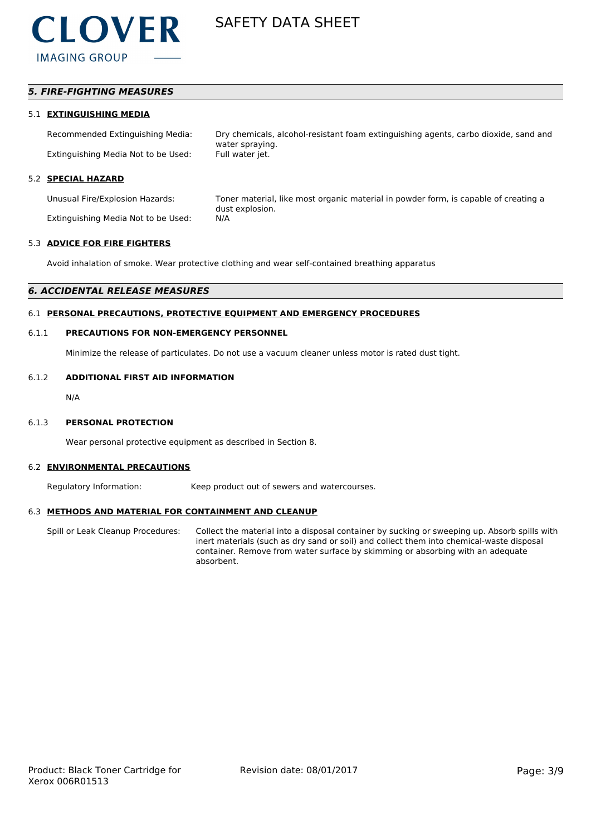

# *5. FIRE-FIGHTING MEASURES*

#### 5.1 **EXTINGUISHING MEDIA**

Recommended Extinguishing Media: Dry chemicals, alcohol-resistant foam extinguishing agents, carbo dioxide, sand and water spraying. Extinguishing Media Not to be Used: Full water jet.

## 5.2 **SPECIAL HAZARD**

Extinguishing Media Not to be Used: N/A

Unusual Fire/Explosion Hazards: Toner material, like most organic material in powder form, is capable of creating a dust explosion.

#### 5.3 **ADVICE FOR FIRE FIGHTERS**

Avoid inhalation of smoke. Wear protective clothing and wear self-contained breathing apparatus

## *6. ACCIDENTAL RELEASE MEASURES*

# 6.1 **PERSONAL PRECAUTIONS, PROTECTIVE EQUIPMENT AND EMERGENCY PROCEDURES**

#### 6.1.1 **PRECAUTIONS FOR NON-EMERGENCY PERSONNEL**

Minimize the release of particulates. Do not use a vacuum cleaner unless motor is rated dust tight.

### 6.1.2 **ADDITIONAL FIRST AID INFORMATION**

N/A

#### 6.1.3 **PERSONAL PROTECTION**

Wear personal protective equipment as described in Section 8.

#### 6.2 **ENVIRONMENTAL PRECAUTIONS**

Regulatory Information: Keep product out of sewers and watercourses.

## 6.3 **METHODS AND MATERIAL FOR CONTAINMENT AND CLEANUP**

Spill or Leak Cleanup Procedures: Collect the material into a disposal container by sucking or sweeping up. Absorb spills with inert materials (such as dry sand or soil) and collect them into chemical-waste disposal container. Remove from water surface by skimming or absorbing with an adequate absorbent.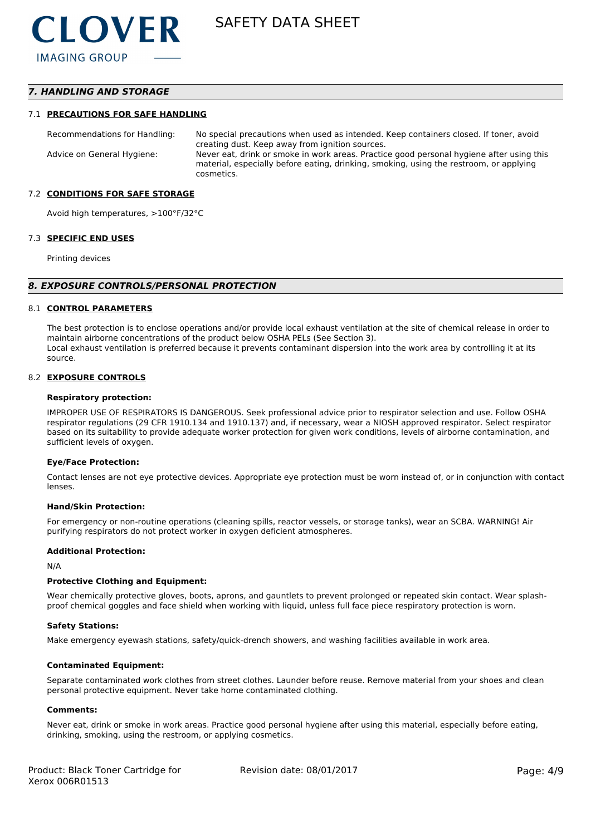# *7. HANDLING AND STORAGE*

## 7.1 **PRECAUTIONS FOR SAFE HANDLING**

Recommendations for Handling: No special precautions when used as intended. Keep containers closed. If toner, avoid creating dust. Keep away from ignition sources. Advice on General Hygiene: Never eat, drink or smoke in work areas. Practice good personal hygiene after using this material, especially before eating, drinking, smoking, using the restroom, or applying cosmetics.

## 7.2 **CONDITIONS FOR SAFE STORAGE**

Avoid high temperatures, >100°F/32°C

#### 7.3 **SPECIFIC END USES**

Printing devices

#### *8. EXPOSURE CONTROLS/PERSONAL PROTECTION*

#### 8.1 **CONTROL PARAMETERS**

The best protection is to enclose operations and/or provide local exhaust ventilation at the site of chemical release in order to maintain airborne concentrations of the product below OSHA PELs (See Section 3). Local exhaust ventilation is preferred because it prevents contaminant dispersion into the work area by controlling it at its source.

#### 8.2 **EXPOSURE CONTROLS**

#### **Respiratory protection:**

IMPROPER USE OF RESPIRATORS IS DANGEROUS. Seek professional advice prior to respirator selection and use. Follow OSHA respirator regulations (29 CFR 1910.134 and 1910.137) and, if necessary, wear a NIOSH approved respirator. Select respirator based on its suitability to provide adequate worker protection for given work conditions, levels of airborne contamination, and sufficient levels of oxygen.

#### **Eye/Face Protection:**

Contact lenses are not eye protective devices. Appropriate eye protection must be worn instead of, or in conjunction with contact lenses.

#### **Hand/Skin Protection:**

For emergency or non-routine operations (cleaning spills, reactor vessels, or storage tanks), wear an SCBA. WARNING! Air purifying respirators do not protect worker in oxygen deficient atmospheres.

## **Additional Protection:**

N/A

#### **Protective Clothing and Equipment:**

Wear chemically protective gloves, boots, aprons, and gauntlets to prevent prolonged or repeated skin contact. Wear splashproof chemical goggles and face shield when working with liquid, unless full face piece respiratory protection is worn.

#### **Safety Stations:**

Make emergency eyewash stations, safety/quick-drench showers, and washing facilities available in work area.

## **Contaminated Equipment:**

Separate contaminated work clothes from street clothes. Launder before reuse. Remove material from your shoes and clean personal protective equipment. Never take home contaminated clothing.

### **Comments:**

Never eat, drink or smoke in work areas. Practice good personal hygiene after using this material, especially before eating, drinking, smoking, using the restroom, or applying cosmetics.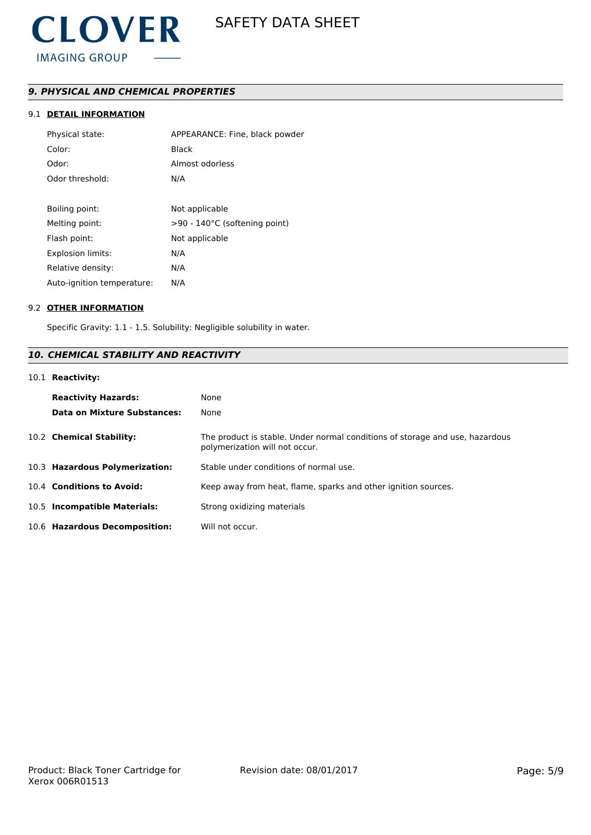

# *9. PHYSICAL AND CHEMICAL PROPERTIES*

# 9.1 **DETAIL INFORMATION**

| Physical state:            | APPEARANCE: Fine, black powder |
|----------------------------|--------------------------------|
| Color:                     | Black                          |
| Odor:                      | Almost odorless                |
| Odor threshold:            | N/A                            |
|                            |                                |
| Boiling point:             | Not applicable                 |
| Melting point:             | >90 - 140°C (softening point)  |
| Flash point:               | Not applicable                 |
| <b>Explosion limits:</b>   | N/A                            |
| Relative density:          | N/A                            |
| Auto-ignition temperature: | N/A                            |

## 9.2 **OTHER INFORMATION**

Specific Gravity: 1.1 - 1.5. Solubility: Negligible solubility in water.

# *10. CHEMICAL STABILITY AND REACTIVITY*

# 10.1 **Reactivity:**

| <b>Reactivity Hazards:</b><br>Data on Mixture Substances: | None<br>None                                                                                                   |
|-----------------------------------------------------------|----------------------------------------------------------------------------------------------------------------|
| 10.2 Chemical Stability:                                  | The product is stable. Under normal conditions of storage and use, hazardous<br>polymerization will not occur. |
| 10.3 Hazardous Polymerization:                            | Stable under conditions of normal use.                                                                         |
| 10.4 Conditions to Avoid:                                 | Keep away from heat, flame, sparks and other ignition sources.                                                 |
| 10.5 Incompatible Materials:                              | Strong oxidizing materials                                                                                     |
| 10.6 Hazardous Decomposition:                             | Will not occur.                                                                                                |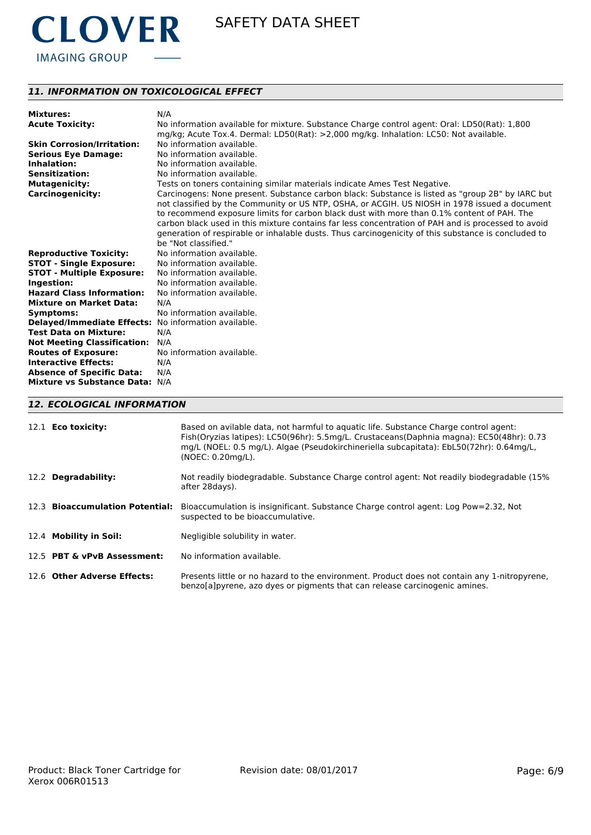

# *11. INFORMATION ON TOXICOLOGICAL EFFECT*

| <b>Mixtures:</b>                                     | N/A                                                                                                 |
|------------------------------------------------------|-----------------------------------------------------------------------------------------------------|
| <b>Acute Toxicity:</b>                               | No information available for mixture. Substance Charge control agent: Oral: LD50(Rat): 1,800        |
|                                                      | mg/kg; Acute Tox.4. Dermal: LD50(Rat): >2,000 mg/kg. Inhalation: LC50: Not available.               |
| <b>Skin Corrosion/Irritation:</b>                    | No information available.                                                                           |
| <b>Serious Eye Damage:</b>                           | No information available.                                                                           |
| Inhalation:                                          | No information available.                                                                           |
| <b>Sensitization:</b>                                | No information available.                                                                           |
| <b>Mutagenicity:</b>                                 | Tests on toners containing similar materials indicate Ames Test Negative.                           |
| <b>Carcinogenicity:</b>                              | Carcinogens: None present. Substance carbon black: Substance is listed as "group 2B" by IARC but    |
|                                                      | not classified by the Community or US NTP, OSHA, or ACGIH. US NIOSH in 1978 issued a document       |
|                                                      | to recommend exposure limits for carbon black dust with more than 0.1% content of PAH. The          |
|                                                      | carbon black used in this mixture contains far less concentration of PAH and is processed to avoid  |
|                                                      | generation of respirable or inhalable dusts. Thus carcinogenicity of this substance is concluded to |
|                                                      | be "Not classified."                                                                                |
| <b>Reproductive Toxicity:</b>                        | No information available.                                                                           |
| <b>STOT - Single Exposure:</b>                       | No information available.                                                                           |
| <b>STOT - Multiple Exposure:</b>                     | No information available.                                                                           |
| Ingestion:                                           | No information available.                                                                           |
| <b>Hazard Class Information:</b>                     | No information available.                                                                           |
| <b>Mixture on Market Data:</b>                       | N/A                                                                                                 |
| Symptoms:                                            | No information available.                                                                           |
| Delayed/Immediate Effects: No information available. |                                                                                                     |
| <b>Test Data on Mixture:</b>                         | N/A                                                                                                 |
| <b>Not Meeting Classification:</b>                   | N/A                                                                                                 |
| <b>Routes of Exposure:</b>                           | No information available.                                                                           |
| <b>Interactive Effects:</b>                          | N/A                                                                                                 |
| <b>Absence of Specific Data:</b>                     | N/A                                                                                                 |
| Mixture vs Substance Data: N/A                       |                                                                                                     |

# *12. ECOLOGICAL INFORMATION*

| 12.1 <b>Eco toxicity:</b>       | Based on avilable data, not harmful to aquatic life. Substance Charge control agent:<br>Fish(Oryzias latipes): LC50(96hr): 5.5mg/L. Crustaceans(Daphnia magna): EC50(48hr): 0.73<br>mg/L (NOEL: 0.5 mg/L). Algae (Pseudokirchineriella subcapitata): EbL50(72hr): 0.64mg/L,<br>(NOEC: 0.20mg/L). |
|---------------------------------|--------------------------------------------------------------------------------------------------------------------------------------------------------------------------------------------------------------------------------------------------------------------------------------------------|
| 12.2 Degradability:             | Not readily biodegradable. Substance Charge control agent: Not readily biodegradable (15%)<br>after 28 days).                                                                                                                                                                                    |
| 12.3 Bioaccumulation Potential: | Bioaccumulation is insignificant. Substance Charge control agent: Log Pow=2.32, Not<br>suspected to be bioaccumulative.                                                                                                                                                                          |
| 12.4 Mobility in Soil:          | Negligible solubility in water.                                                                                                                                                                                                                                                                  |
| 12.5 PBT & vPvB Assessment:     | No information available.                                                                                                                                                                                                                                                                        |
| 12.6 Other Adverse Effects:     | Presents little or no hazard to the environment. Product does not contain any 1-nitropyrene,<br>benzolal pyrene, azo dyes or pigments that can release carcinogenic amines.                                                                                                                      |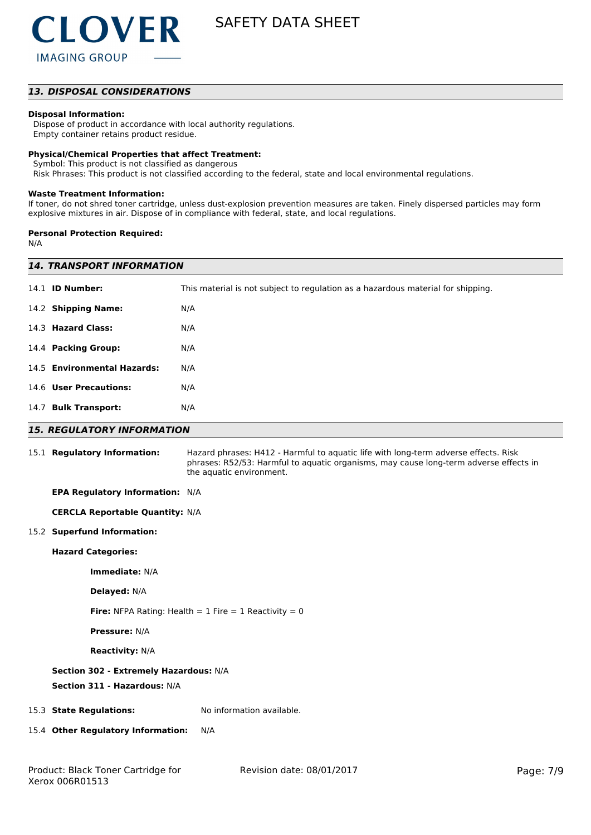# *13. DISPOSAL CONSIDERATIONS*

## **Disposal Information:**

 Dispose of product in accordance with local authority regulations. Empty container retains product residue.

## **Physical/Chemical Properties that affect Treatment:**

Symbol: This product is not classified as dangerous

Risk Phrases: This product is not classified according to the federal, state and local environmental regulations.

#### **Waste Treatment Information:**

If toner, do not shred toner cartridge, unless dust-explosion prevention measures are taken. Finely dispersed particles may form explosive mixtures in air. Dispose of in compliance with federal, state, and local regulations.

### **Personal Protection Required:**

N/A

|                                                                        | <b>14. TRANSPORT INFORMATION</b>                                                                                                                                                                         |  |  |
|------------------------------------------------------------------------|----------------------------------------------------------------------------------------------------------------------------------------------------------------------------------------------------------|--|--|
| 14.1 <b>ID Number:</b>                                                 | This material is not subject to regulation as a hazardous material for shipping.                                                                                                                         |  |  |
| 14.2 Shipping Name:                                                    | N/A                                                                                                                                                                                                      |  |  |
| 14.3 Hazard Class:                                                     | N/A                                                                                                                                                                                                      |  |  |
| 14.4 Packing Group:                                                    | N/A                                                                                                                                                                                                      |  |  |
| 14.5 Environmental Hazards:                                            | N/A                                                                                                                                                                                                      |  |  |
| 14.6 User Precautions:                                                 | N/A                                                                                                                                                                                                      |  |  |
| 14.7 Bulk Transport:                                                   | N/A                                                                                                                                                                                                      |  |  |
| <b>15. REGULATORY INFORMATION</b>                                      |                                                                                                                                                                                                          |  |  |
| 15.1 Regulatory Information:                                           | Hazard phrases: H412 - Harmful to aquatic life with long-term adverse effects. Risk<br>phrases: R52/53: Harmful to aquatic organisms, may cause long-term adverse effects in<br>the aquatic environment. |  |  |
| EPA Regulatory Information: N/A                                        |                                                                                                                                                                                                          |  |  |
| <b>CERCLA Reportable Quantity: N/A</b>                                 |                                                                                                                                                                                                          |  |  |
| 15.2 Superfund Information:                                            |                                                                                                                                                                                                          |  |  |
| <b>Hazard Categories:</b>                                              |                                                                                                                                                                                                          |  |  |
| Immediate: N/A                                                         |                                                                                                                                                                                                          |  |  |
| Delayed: N/A                                                           |                                                                                                                                                                                                          |  |  |
| Fire: NFPA Rating: Health = $1$ Fire = $1$ Reactivity = 0              |                                                                                                                                                                                                          |  |  |
| <b>Pressure: N/A</b>                                                   |                                                                                                                                                                                                          |  |  |
| <b>Reactivity: N/A</b>                                                 |                                                                                                                                                                                                          |  |  |
| Section 302 - Extremely Hazardous: N/A<br>Section 311 - Hazardous: N/A |                                                                                                                                                                                                          |  |  |
| 15.3 State Regulations:                                                | No information available.                                                                                                                                                                                |  |  |
| 15.4 Other Regulatory Information:                                     | N/A                                                                                                                                                                                                      |  |  |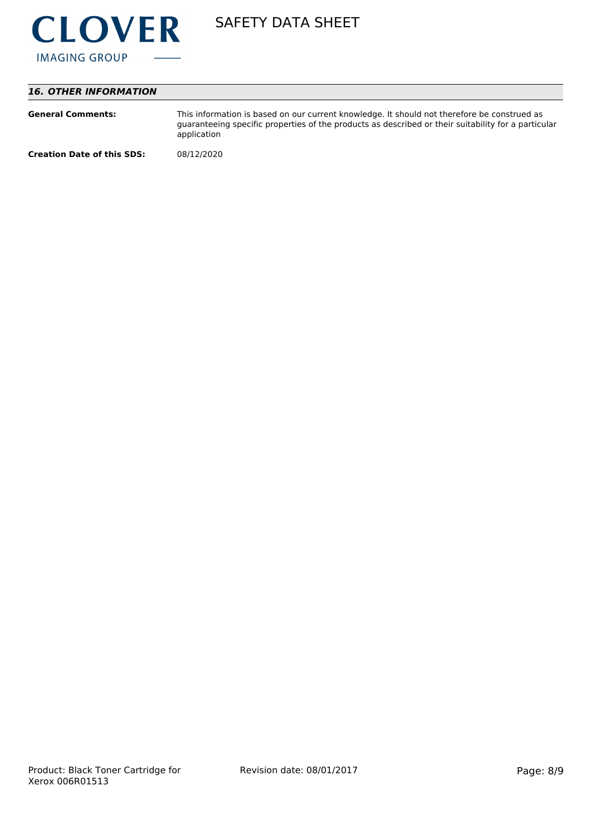

# *16. OTHER INFORMATION*

| <b>General Comments:</b>          | This information is based on our current knowledge. It should not therefore be construed as<br>guaranteeing specific properties of the products as described or their suitability for a particular<br>application |
|-----------------------------------|-------------------------------------------------------------------------------------------------------------------------------------------------------------------------------------------------------------------|
| <b>Creation Date of this SDS:</b> | 08/12/2020                                                                                                                                                                                                        |